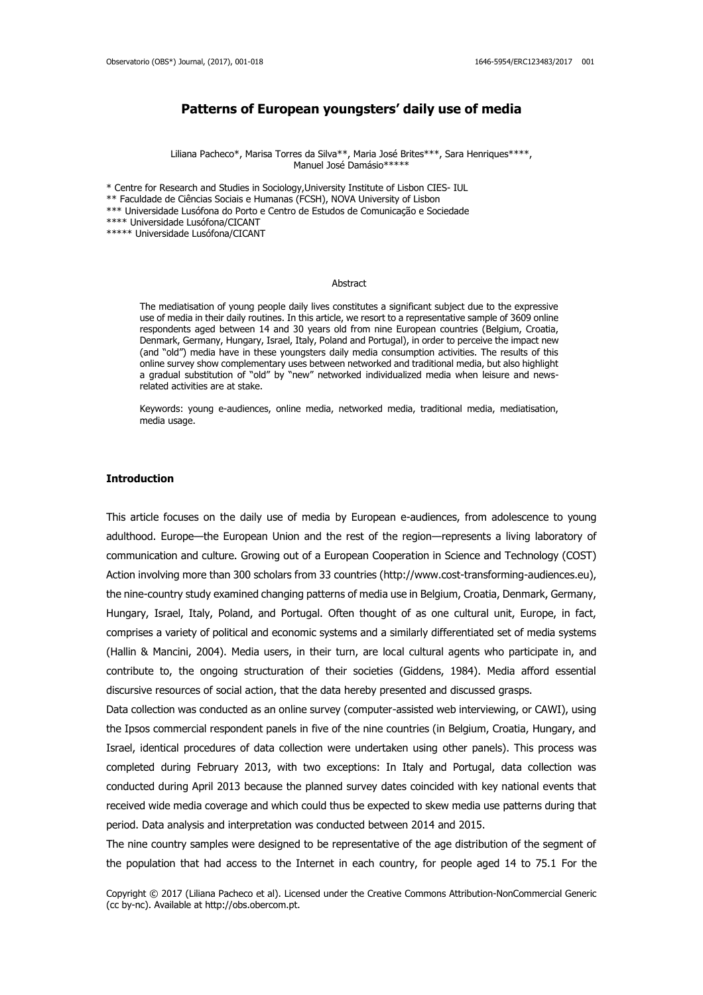# **Patterns of European youngsters' daily use of media**

Liliana Pacheco\*, Marisa Torres da Silva\*\*, Maria José Brites\*\*\*, Sara Henriques\*\*\*\*, Manuel José Damásio\*\*\*\*\*

\* Centre for Research and Studies in Sociology,University Institute of Lisbon CIES- IUL \*\* Faculdade de Ciências Sociais e Humanas (FCSH), NOVA University of Lisbon \*\*\* Universidade Lusófona do Porto e Centro de Estudos de Comunicação e Sociedade \*\*\*\* Universidade Lusófona/CICANT \*\*\*\*\* Universidade Lusófona/CICANT

#### Abstract

The mediatisation of young people daily lives constitutes a significant subject due to the expressive use of media in their daily routines. In this article, we resort to a representative sample of 3609 online respondents aged between 14 and 30 years old from nine European countries (Belgium, Croatia, Denmark, Germany, Hungary, Israel, Italy, Poland and Portugal), in order to perceive the impact new (and "old") media have in these youngsters daily media consumption activities. The results of this online survey show complementary uses between networked and traditional media, but also highlight a gradual substitution of "old" by "new" networked individualized media when leisure and newsrelated activities are at stake.

Keywords: young e-audiences, online media, networked media, traditional media, mediatisation, media usage.

#### **Introduction**

This article focuses on the daily use of media by European e-audiences, from adolescence to young adulthood. Europe—the European Union and the rest of the region—represents a living laboratory of communication and culture. Growing out of a European Cooperation in Science and Technology (COST) Action involving more than 300 scholars from 33 countries (http://www.cost-transforming-audiences.eu), the nine-country study examined changing patterns of media use in Belgium, Croatia, Denmark, Germany, Hungary, Israel, Italy, Poland, and Portugal. Often thought of as one cultural unit, Europe, in fact, comprises a variety of political and economic systems and a similarly differentiated set of media systems (Hallin & Mancini, 2004). Media users, in their turn, are local cultural agents who participate in, and contribute to, the ongoing structuration of their societies (Giddens, 1984). Media afford essential discursive resources of social action, that the data hereby presented and discussed grasps.

Data collection was conducted as an online survey (computer-assisted web interviewing, or CAWI), using the Ipsos commercial respondent panels in five of the nine countries (in Belgium, Croatia, Hungary, and Israel, identical procedures of data collection were undertaken using other panels). This process was completed during February 2013, with two exceptions: In Italy and Portugal, data collection was conducted during April 2013 because the planned survey dates coincided with key national events that received wide media coverage and which could thus be expected to skew media use patterns during that period. Data analysis and interpretation was conducted between 2014 and 2015.

The nine country samples were designed to be representative of the age distribution of the segment of the population that had access to the Internet in each country, for people aged 14 to 75.1 For the

Copyright © 2017 (Liliana Pacheco et al). Licensed under the Creative Commons Attribution-NonCommercial Generic (cc by-nc). Available at http://obs.obercom.pt.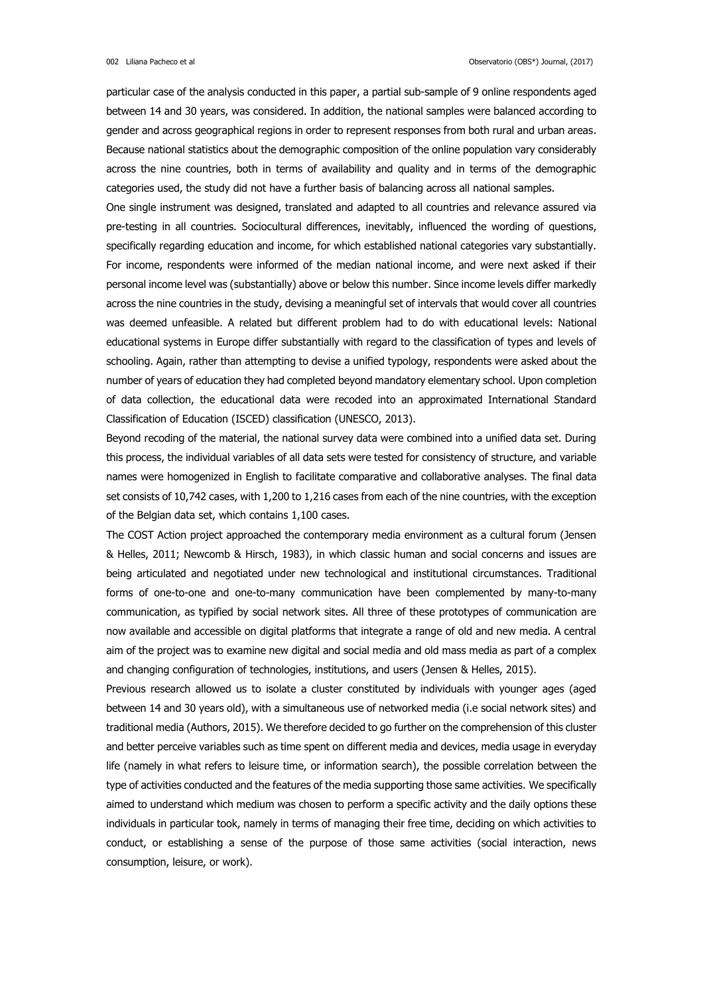particular case of the analysis conducted in this paper, a partial sub-sample of 9 online respondents aged between 14 and 30 years, was considered. In addition, the national samples were balanced according to gender and across geographical regions in order to represent responses from both rural and urban areas. Because national statistics about the demographic composition of the online population vary considerably across the nine countries, both in terms of availability and quality and in terms of the demographic categories used, the study did not have a further basis of balancing across all national samples.

One single instrument was designed, translated and adapted to all countries and relevance assured via pre-testing in all countries. Sociocultural differences, inevitably, influenced the wording of questions, specifically regarding education and income, for which established national categories vary substantially. For income, respondents were informed of the median national income, and were next asked if their personal income level was (substantially) above or below this number. Since income levels differ markedly across the nine countries in the study, devising a meaningful set of intervals that would cover all countries was deemed unfeasible. A related but different problem had to do with educational levels: National educational systems in Europe differ substantially with regard to the classification of types and levels of schooling. Again, rather than attempting to devise a unified typology, respondents were asked about the number of years of education they had completed beyond mandatory elementary school. Upon completion of data collection, the educational data were recoded into an approximated International Standard Classification of Education (ISCED) classification (UNESCO, 2013).

Beyond recoding of the material, the national survey data were combined into a unified data set. During this process, the individual variables of all data sets were tested for consistency of structure, and variable names were homogenized in English to facilitate comparative and collaborative analyses. The final data set consists of 10,742 cases, with 1,200 to 1,216 cases from each of the nine countries, with the exception of the Belgian data set, which contains 1,100 cases.

The COST Action project approached the contemporary media environment as a cultural forum (Jensen & Helles, 2011; Newcomb & Hirsch, 1983), in which classic human and social concerns and issues are being articulated and negotiated under new technological and institutional circumstances. Traditional forms of one-to-one and one-to-many communication have been complemented by many-to-many communication, as typified by social network sites. All three of these prototypes of communication are now available and accessible on digital platforms that integrate a range of old and new media. A central aim of the project was to examine new digital and social media and old mass media as part of a complex and changing configuration of technologies, institutions, and users (Jensen & Helles, 2015).

Previous research allowed us to isolate a cluster constituted by individuals with younger ages (aged between 14 and 30 years old), with a simultaneous use of networked media (i.e social network sites) and traditional media (Authors, 2015). We therefore decided to go further on the comprehension of this cluster and better perceive variables such as time spent on different media and devices, media usage in everyday life (namely in what refers to leisure time, or information search), the possible correlation between the type of activities conducted and the features of the media supporting those same activities. We specifically aimed to understand which medium was chosen to perform a specific activity and the daily options these individuals in particular took, namely in terms of managing their free time, deciding on which activities to conduct, or establishing a sense of the purpose of those same activities (social interaction, news consumption, leisure, or work).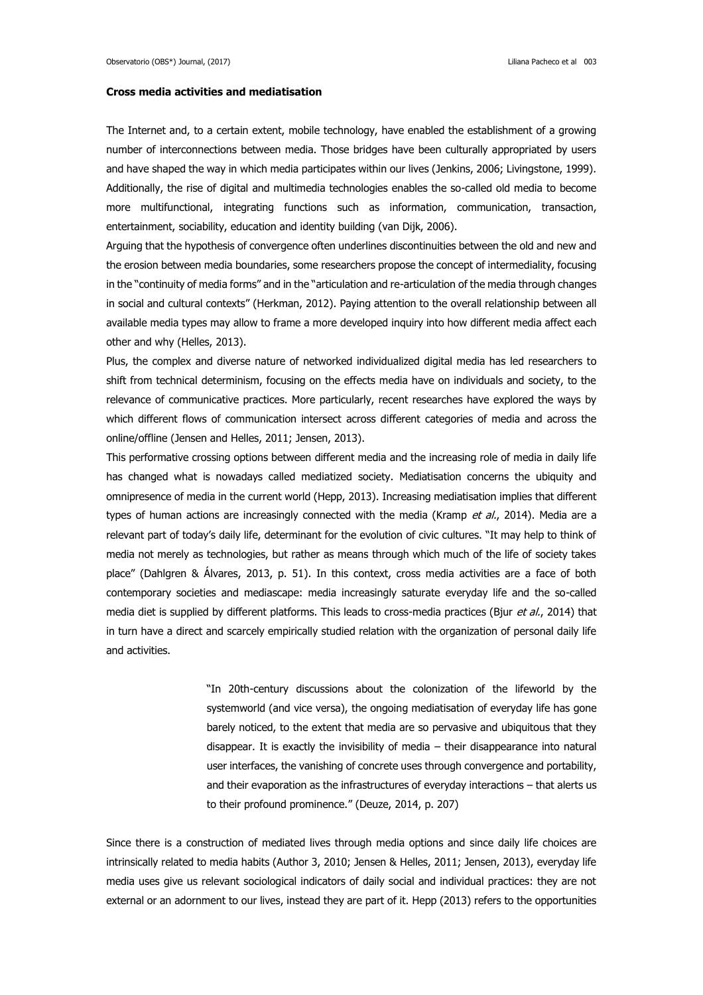## **Cross media activities and mediatisation**

The Internet and, to a certain extent, mobile technology, have enabled the establishment of a growing number of interconnections between media. Those bridges have been culturally appropriated by users and have shaped the way in which media participates within our lives (Jenkins, 2006; Livingstone, 1999). Additionally, the rise of digital and multimedia technologies enables the so-called old media to become more multifunctional, integrating functions such as information, communication, transaction, entertainment, sociability, education and identity building (van Dijk, 2006).

Arguing that the hypothesis of convergence often underlines discontinuities between the old and new and the erosion between media boundaries, some researchers propose the concept of intermediality, focusing in the "continuity of media forms" and in the "articulation and re-articulation of the media through changes in social and cultural contexts" (Herkman, 2012). Paying attention to the overall relationship between all available media types may allow to frame a more developed inquiry into how different media affect each other and why (Helles, 2013).

Plus, the complex and diverse nature of networked individualized digital media has led researchers to shift from technical determinism, focusing on the effects media have on individuals and society, to the relevance of communicative practices. More particularly, recent researches have explored the ways by which different flows of communication intersect across different categories of media and across the online/offline (Jensen and Helles, 2011; Jensen, 2013).

This performative crossing options between different media and the increasing role of media in daily life has changed what is nowadays called mediatized society. Mediatisation concerns the ubiquity and omnipresence of media in the current world (Hepp, 2013). Increasing mediatisation implies that different types of human actions are increasingly connected with the media (Kramp et  $al$ , 2014). Media are a relevant part of today's daily life, determinant for the evolution of civic cultures. "It may help to think of media not merely as technologies, but rather as means through which much of the life of society takes place" (Dahlgren & Álvares, 2013, p. 51). In this context, cross media activities are a face of both contemporary societies and mediascape: media increasingly saturate everyday life and the so-called media diet is supplied by different platforms. This leads to cross-media practices (Bjur et al., 2014) that in turn have a direct and scarcely empirically studied relation with the organization of personal daily life and activities.

> "In 20th-century discussions about the colonization of the lifeworld by the systemworld (and vice versa), the ongoing mediatisation of everyday life has gone barely noticed, to the extent that media are so pervasive and ubiquitous that they disappear. It is exactly the invisibility of media – their disappearance into natural user interfaces, the vanishing of concrete uses through convergence and portability, and their evaporation as the infrastructures of everyday interactions – that alerts us to their profound prominence." (Deuze, 2014, p. 207)

Since there is a construction of mediated lives through media options and since daily life choices are intrinsically related to media habits (Author 3, 2010; Jensen & Helles, 2011; Jensen, 2013), everyday life media uses give us relevant sociological indicators of daily social and individual practices: they are not external or an adornment to our lives, instead they are part of it. Hepp (2013) refers to the opportunities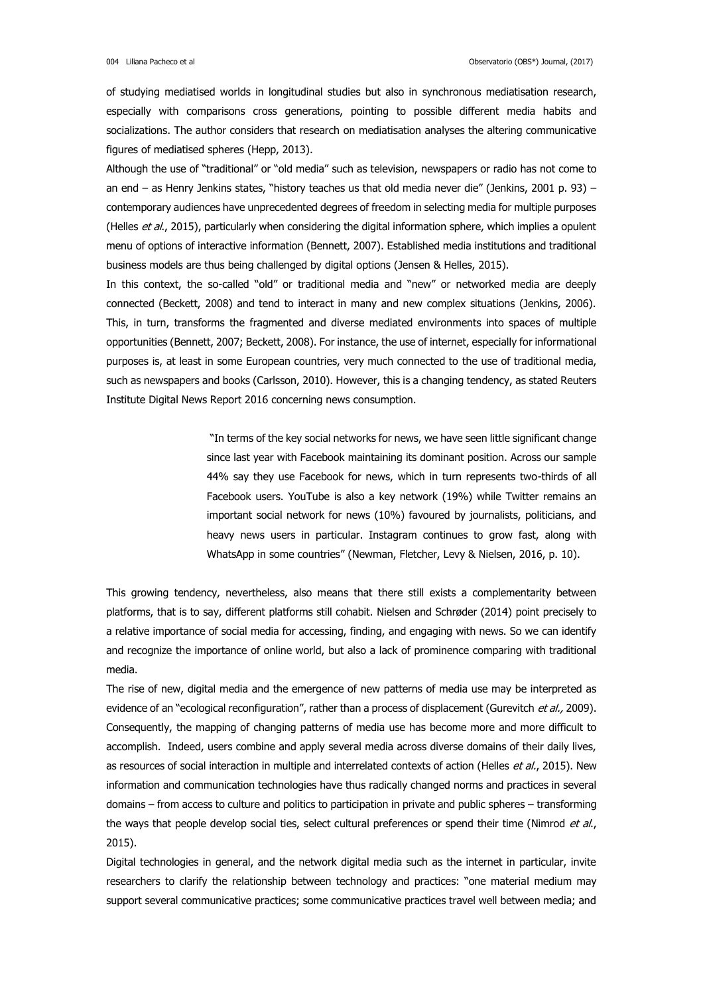of studying mediatised worlds in longitudinal studies but also in synchronous mediatisation research, especially with comparisons cross generations, pointing to possible different media habits and socializations. The author considers that research on mediatisation analyses the altering communicative figures of mediatised spheres (Hepp, 2013).

Although the use of "traditional" or "old media" such as television, newspapers or radio has not come to an end – as Henry Jenkins states, "history teaches us that old media never die" (Jenkins, 2001 p. 93) – contemporary audiences have unprecedented degrees of freedom in selecting media for multiple purposes (Helles et al., 2015), particularly when considering the digital information sphere, which implies a opulent menu of options of interactive information (Bennett, 2007). Established media institutions and traditional business models are thus being challenged by digital options (Jensen & Helles, 2015).

In this context, the so-called "old" or traditional media and "new" or networked media are deeply connected (Beckett, 2008) and tend to interact in many and new complex situations (Jenkins, 2006). This, in turn, transforms the fragmented and diverse mediated environments into spaces of multiple opportunities (Bennett, 2007; Beckett, 2008). For instance, the use of internet, especially for informational purposes is, at least in some European countries, very much connected to the use of traditional media, such as newspapers and books (Carlsson, 2010). However, this is a changing tendency, as stated Reuters Institute Digital News Report 2016 concerning news consumption.

> "In terms of the key social networks for news, we have seen little significant change since last year with Facebook maintaining its dominant position. Across our sample 44% say they use Facebook for news, which in turn represents two-thirds of all Facebook users. YouTube is also a key network (19%) while Twitter remains an important social network for news (10%) favoured by journalists, politicians, and heavy news users in particular. Instagram continues to grow fast, along with WhatsApp in some countries" (Newman, Fletcher, Levy & Nielsen, 2016, p. 10).

This growing tendency, nevertheless, also means that there still exists a complementarity between platforms, that is to say, different platforms still cohabit. Nielsen and Schrøder (2014) point precisely to a relative importance of social media for accessing, finding, and engaging with news. So we can identify and recognize the importance of online world, but also a lack of prominence comparing with traditional media.

The rise of new, digital media and the emergence of new patterns of media use may be interpreted as evidence of an "ecological reconfiguration", rather than a process of displacement (Gurevitch et al., 2009). Consequently, the mapping of changing patterns of media use has become more and more difficult to accomplish. Indeed, users combine and apply several media across diverse domains of their daily lives, as resources of social interaction in multiple and interrelated contexts of action (Helles et al., 2015). New information and communication technologies have thus radically changed norms and practices in several domains – from access to culture and politics to participation in private and public spheres – transforming the ways that people develop social ties, select cultural preferences or spend their time (Nimrod et al., 2015).

Digital technologies in general, and the network digital media such as the internet in particular, invite researchers to clarify the relationship between technology and practices: "one material medium may support several communicative practices; some communicative practices travel well between media; and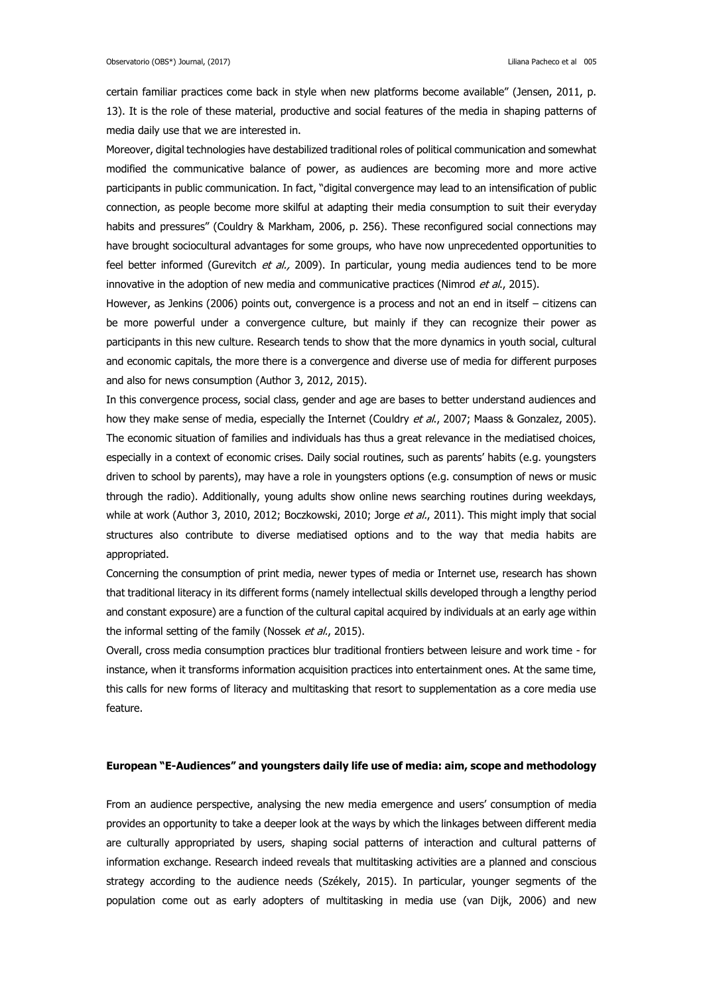certain familiar practices come back in style when new platforms become available" (Jensen, 2011, p. 13). It is the role of these material, productive and social features of the media in shaping patterns of media daily use that we are interested in.

Moreover, digital technologies have destabilized traditional roles of political communication and somewhat modified the communicative balance of power, as audiences are becoming more and more active participants in public communication. In fact, "digital convergence may lead to an intensification of public connection, as people become more skilful at adapting their media consumption to suit their everyday habits and pressures" (Couldry & Markham, 2006, p. 256). These reconfigured social connections may have brought sociocultural advantages for some groups, who have now unprecedented opportunities to feel better informed (Gurevitch et al., 2009). In particular, young media audiences tend to be more innovative in the adoption of new media and communicative practices (Nimrod et al., 2015).

However, as Jenkins (2006) points out, convergence is a process and not an end in itself – citizens can be more powerful under a convergence culture, but mainly if they can recognize their power as participants in this new culture. Research tends to show that the more dynamics in youth social, cultural and economic capitals, the more there is a convergence and diverse use of media for different purposes and also for news consumption (Author 3, 2012, 2015).

In this convergence process, social class, gender and age are bases to better understand audiences and how they make sense of media, especially the Internet (Couldry et al., 2007; Maass & Gonzalez, 2005). The economic situation of families and individuals has thus a great relevance in the mediatised choices, especially in a context of economic crises. Daily social routines, such as parents' habits (e.g. youngsters driven to school by parents), may have a role in youngsters options (e.g. consumption of news or music through the radio). Additionally, young adults show online news searching routines during weekdays, while at work (Author 3, 2010, 2012; Boczkowski, 2010; Jorge et al., 2011). This might imply that social structures also contribute to diverse mediatised options and to the way that media habits are appropriated.

Concerning the consumption of print media, newer types of media or Internet use, research has shown that traditional literacy in its different forms (namely intellectual skills developed through a lengthy period and constant exposure) are a function of the cultural capital acquired by individuals at an early age within the informal setting of the family (Nossek et al., 2015).

Overall, cross media consumption practices blur traditional frontiers between leisure and work time - for instance, when it transforms information acquisition practices into entertainment ones. At the same time, this calls for new forms of literacy and multitasking that resort to supplementation as a core media use feature.

## **European "E-Audiences" and youngsters daily life use of media: aim, scope and methodology**

From an audience perspective, analysing the new media emergence and users' consumption of media provides an opportunity to take a deeper look at the ways by which the linkages between different media are culturally appropriated by users, shaping social patterns of interaction and cultural patterns of information exchange. Research indeed reveals that multitasking activities are a planned and conscious strategy according to the audience needs (Székely, 2015). In particular, younger segments of the population come out as early adopters of multitasking in media use (van Dijk, 2006) and new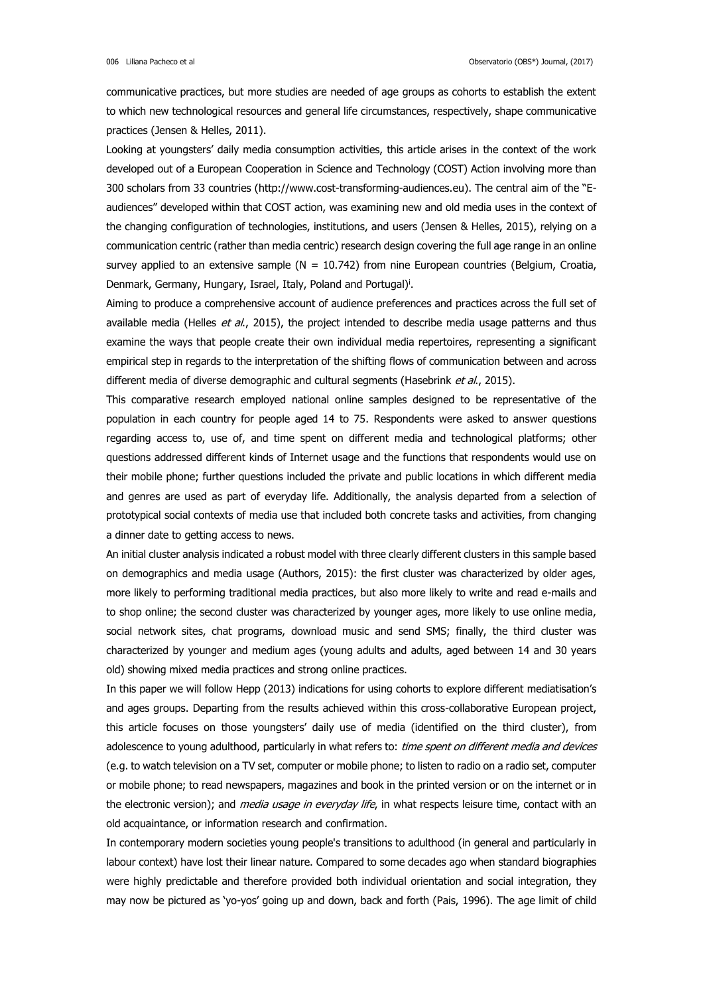communicative practices, but more studies are needed of age groups as cohorts to establish the extent to which new technological resources and general life circumstances, respectively, shape communicative practices (Jensen & Helles, 2011).

Looking at youngsters' daily media consumption activities, this article arises in the context of the work developed out of a European Cooperation in Science and Technology (COST) Action involving more than 300 scholars from 33 countries (http://www.cost-transforming-audiences.eu). The central aim of the "Eaudiences" developed within that COST action, was examining new and old media uses in the context of the changing configuration of technologies, institutions, and users (Jensen & Helles, 2015), relying on a communication centric (rather than media centric) research design covering the full age range in an online survey applied to an extensive sample ( $N = 10.742$ ) from nine European countries (Belgium, Croatia, Denmark, Germany, Hungary, Israel, Italy, Poland and Portugal)<sup>i</sup>.

Aiming to produce a comprehensive account of audience preferences and practices across the full set of available media (Helles et  $al$ , 2015), the project intended to describe media usage patterns and thus examine the ways that people create their own individual media repertoires, representing a significant empirical step in regards to the interpretation of the shifting flows of communication between and across different media of diverse demographic and cultural segments (Hasebrink et al., 2015).

This comparative research employed national online samples designed to be representative of the population in each country for people aged 14 to 75. Respondents were asked to answer questions regarding access to, use of, and time spent on different media and technological platforms; other questions addressed different kinds of Internet usage and the functions that respondents would use on their mobile phone; further questions included the private and public locations in which different media and genres are used as part of everyday life. Additionally, the analysis departed from a selection of prototypical social contexts of media use that included both concrete tasks and activities, from changing a dinner date to getting access to news.

An initial cluster analysis indicated a robust model with three clearly different clusters in this sample based on demographics and media usage (Authors, 2015): the first cluster was characterized by older ages, more likely to performing traditional media practices, but also more likely to write and read e-mails and to shop online; the second cluster was characterized by younger ages, more likely to use online media, social network sites, chat programs, download music and send SMS; finally, the third cluster was characterized by younger and medium ages (young adults and adults, aged between 14 and 30 years old) showing mixed media practices and strong online practices.

In this paper we will follow Hepp (2013) indications for using cohorts to explore different mediatisation's and ages groups. Departing from the results achieved within this cross-collaborative European project, this article focuses on those youngsters' daily use of media (identified on the third cluster), from adolescence to young adulthood, particularly in what refers to: time spent on different media and devices (e.g. to watch television on a TV set, computer or mobile phone; to listen to radio on a radio set, computer or mobile phone; to read newspapers, magazines and book in the printed version or on the internet or in the electronic version); and *media usage in everyday life*, in what respects leisure time, contact with an old acquaintance, or information research and confirmation.

In contemporary modern societies young people's transitions to adulthood (in general and particularly in labour context) have lost their linear nature. Compared to some decades ago when standard biographies were highly predictable and therefore provided both individual orientation and social integration, they may now be pictured as 'yo-yos' going up and down, back and forth (Pais, 1996). The age limit of child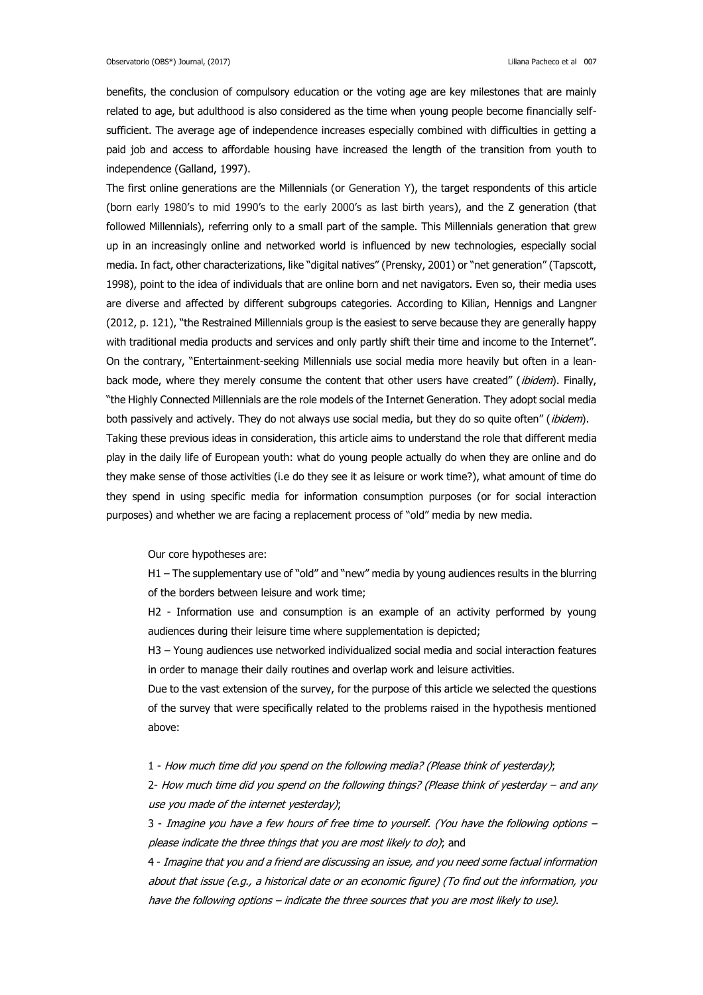benefits, the conclusion of compulsory education or the voting age are key milestones that are mainly related to age, but adulthood is also considered as the time when young people become financially selfsufficient. The average age of independence increases especially combined with difficulties in getting a paid job and access to affordable housing have increased the length of the transition from youth to independence (Galland, 1997).

The first online generations are the Millennials (or Generation Y), the target respondents of this article (born early 1980's to mid 1990's to the early 2000's as last birth years), and the Z generation (that followed Millennials), referring only to a small part of the sample. This Millennials generation that grew up in an increasingly online and networked world is influenced by new technologies, especially social media. In fact, other characterizations, like "digital natives" (Prensky, 2001) or "net generation" (Tapscott, 1998), point to the idea of individuals that are online born and net navigators. Even so, their media uses are diverse and affected by different subgroups categories. According to Kilian, Hennigs and Langner (2012, p. 121), "the Restrained Millennials group is the easiest to serve because they are generally happy with traditional media products and services and only partly shift their time and income to the Internet". On the contrary, "Entertainment-seeking Millennials use social media more heavily but often in a leanback mode, where they merely consume the content that other users have created" (ibidem). Finally, "the Highly Connected Millennials are the role models of the Internet Generation. They adopt social media both passively and actively. They do not always use social media, but they do so quite often" (ibidem). Taking these previous ideas in consideration, this article aims to understand the role that different media play in the daily life of European youth: what do young people actually do when they are online and do they make sense of those activities (i.e do they see it as leisure or work time?), what amount of time do they spend in using specific media for information consumption purposes (or for social interaction purposes) and whether we are facing a replacement process of "old" media by new media.

Our core hypotheses are:

H1 – The supplementary use of "old" and "new" media by young audiences results in the blurring of the borders between leisure and work time;

H2 - Information use and consumption is an example of an activity performed by young audiences during their leisure time where supplementation is depicted;

H3 – Young audiences use networked individualized social media and social interaction features in order to manage their daily routines and overlap work and leisure activities.

Due to the vast extension of the survey, for the purpose of this article we selected the questions of the survey that were specifically related to the problems raised in the hypothesis mentioned above:

1 - How much time did you spend on the following media? (Please think of yesterday);

2- How much time did you spend on the following things? (Please think of yesterday – and any use you made of the internet yesterday);

3 - Imagine you have a few hours of free time to yourself. (You have the following options – please indicate the three things that you are most likely to do); and

4 - Imagine that you and a friend are discussing an issue, and you need some factual information about that issue (e.g., a historical date or an economic figure) (To find out the information, you have the following options – indicate the three sources that you are most likely to use).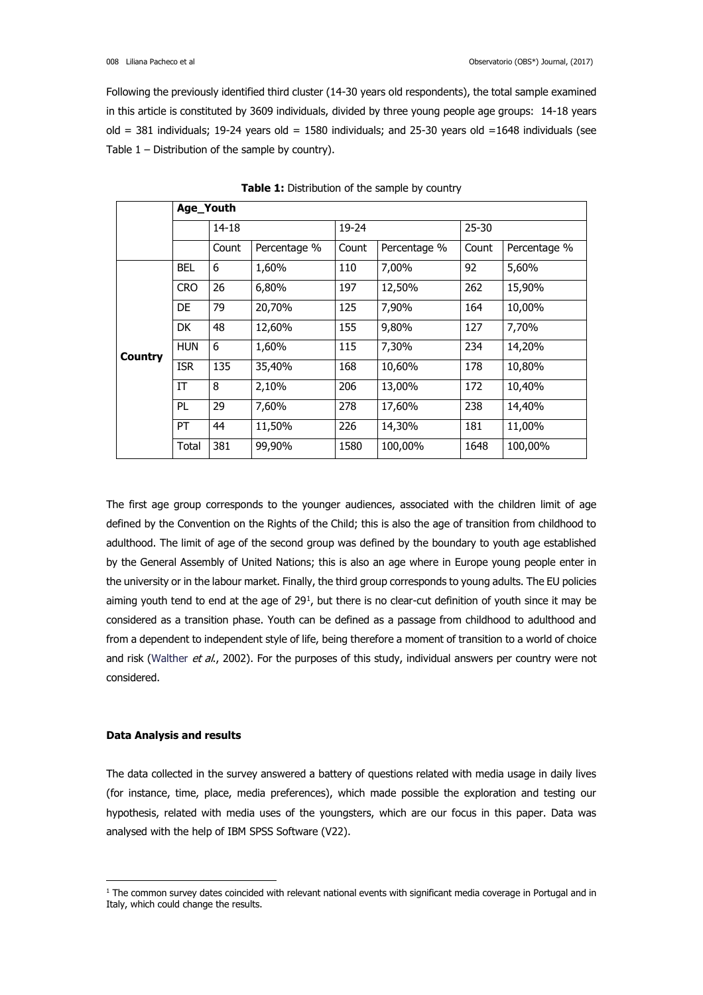Following the previously identified third cluster (14-30 years old respondents), the total sample examined in this article is constituted by 3609 individuals, divided by three young people age groups: 14-18 years old = 381 individuals; 19-24 years old = 1580 individuals; and 25-30 years old =  $1648$  individuals (see Table 1 – Distribution of the sample by country).

|                | Age_Youth  |              |              |           |              |           |              |  |
|----------------|------------|--------------|--------------|-----------|--------------|-----------|--------------|--|
|                |            | $14 - 18$    |              | $19 - 24$ |              | $25 - 30$ |              |  |
|                |            | Count        | Percentage % | Count     | Percentage % | Count     | Percentage % |  |
|                | <b>BEL</b> | 6            | 1,60%        | 110       | 7,00%        | 92        | 5,60%        |  |
|                | <b>CRO</b> | 26           | 6,80%        | 197       | 12,50%       |           | 15,90%       |  |
|                | <b>DE</b>  | 79           | 20,70%       | 125       | 7,90%        | 164       | 10,00%       |  |
|                | <b>DK</b>  | 48<br>12,60% |              | 155       | 9,80%        | 127       | 7.70%        |  |
| <b>Country</b> | <b>HUN</b> | 6<br>1,60%   |              | 115       | 7,30%        | 234       | 14,20%       |  |
|                | <b>ISR</b> | 135          | 35,40%       | 168       | 10,60%       | 178       | 10,80%       |  |
|                | IT         | 8            | 2,10%        | 206       | 13,00%       | 172       | 10,40%       |  |
|                | <b>PL</b>  | 29           | 7,60%        | 278       | 17,60%       | 238       | 14,40%       |  |
|                | PT         | 44           | 11,50%       | 226       | 14,30%       | 181       | 11,00%       |  |
|                | Total      | 381          | 99,90%       | 1580      | 100,00%      | 1648      | 100,00%      |  |

**Table 1:** Distribution of the sample by country

The first age group corresponds to the younger audiences, associated with the children limit of age defined by the Convention on the Rights of the Child; this is also the age of transition from childhood to adulthood. The limit of age of the second group was defined by the boundary to youth age established by the General Assembly of United Nations; this is also an age where in Europe young people enter in the university or in the labour market. Finally, the third group corresponds to young adults. The EU policies aiming youth tend to end at the age of 29<sup>1</sup>, but there is no clear-cut definition of youth since it may be considered as a transition phase. Youth can be defined as a passage from childhood to adulthood and from a dependent to independent style of life, being therefore a moment of transition to a world of choice and risk (Walther et al., 2002). For the purposes of this study, individual answers per country were not considered.

# **Data Analysis and results**

 $\overline{\phantom{a}}$ 

The data collected in the survey answered a battery of questions related with media usage in daily lives (for instance, time, place, media preferences), which made possible the exploration and testing our hypothesis, related with media uses of the youngsters, which are our focus in this paper. Data was analysed with the help of IBM SPSS Software (V22).

<sup>&</sup>lt;sup>1</sup> The common survey dates coincided with relevant national events with significant media coverage in Portugal and in Italy, which could change the results.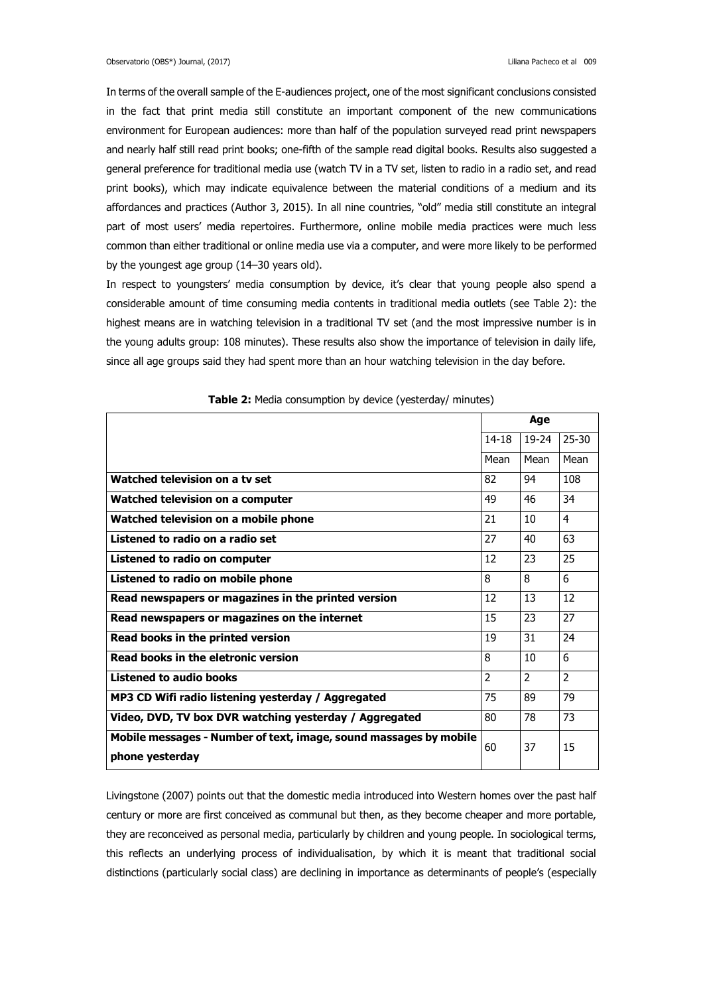In terms of the overall sample of the E-audiences project, one of the most significant conclusions consisted in the fact that print media still constitute an important component of the new communications environment for European audiences: more than half of the population surveyed read print newspapers and nearly half still read print books; one-fifth of the sample read digital books. Results also suggested a general preference for traditional media use (watch TV in a TV set, listen to radio in a radio set, and read print books), which may indicate equivalence between the material conditions of a medium and its affordances and practices (Author 3, 2015). In all nine countries, "old" media still constitute an integral part of most users' media repertoires. Furthermore, online mobile media practices were much less common than either traditional or online media use via a computer, and were more likely to be performed by the youngest age group (14–30 years old).

In respect to youngsters' media consumption by device, it's clear that young people also spend a considerable amount of time consuming media contents in traditional media outlets (see Table 2): the highest means are in watching television in a traditional TV set (and the most impressive number is in the young adults group: 108 minutes). These results also show the importance of television in daily life, since all age groups said they had spent more than an hour watching television in the day before.

|                                                                                      |                | Age            |                |
|--------------------------------------------------------------------------------------|----------------|----------------|----------------|
|                                                                                      | $14 - 18$      | 19-24          | $25 - 30$      |
|                                                                                      | Mean           | Mean           | Mean           |
| Watched television on a ty set                                                       | 82             | 94             | 108            |
| Watched television on a computer                                                     | 49             | 46             | 34             |
| Watched television on a mobile phone                                                 | 21             | 10             | 4              |
| Listened to radio on a radio set                                                     | 27             | 40             | 63             |
| Listened to radio on computer                                                        | 12             | 23             | 25             |
| Listened to radio on mobile phone                                                    | 8              | 8              | 6              |
| Read newspapers or magazines in the printed version                                  | 12             | 13             | 12             |
| Read newspapers or magazines on the internet                                         | 15             | 23             | 27             |
| Read books in the printed version                                                    | 19             | 31             | 24             |
| Read books in the eletronic version                                                  | 8              | 10             | 6              |
| <b>Listened to audio books</b>                                                       | $\overline{2}$ | $\overline{2}$ | $\overline{2}$ |
| MP3 CD Wifi radio listening yesterday / Aggregated                                   | 75             | 89             | 79             |
| Video, DVD, TV box DVR watching yesterday / Aggregated                               | 80             | 78             | 73             |
| Mobile messages - Number of text, image, sound massages by mobile<br>phone yesterday | 60             | 37             | 15             |

**Table 2:** Media consumption by device (yesterday/ minutes)

Livingstone (2007) points out that the domestic media introduced into Western homes over the past half century or more are first conceived as communal but then, as they become cheaper and more portable, they are reconceived as personal media, particularly by children and young people. In sociological terms, this reflects an underlying process of individualisation, by which it is meant that traditional social distinctions (particularly social class) are declining in importance as determinants of people's (especially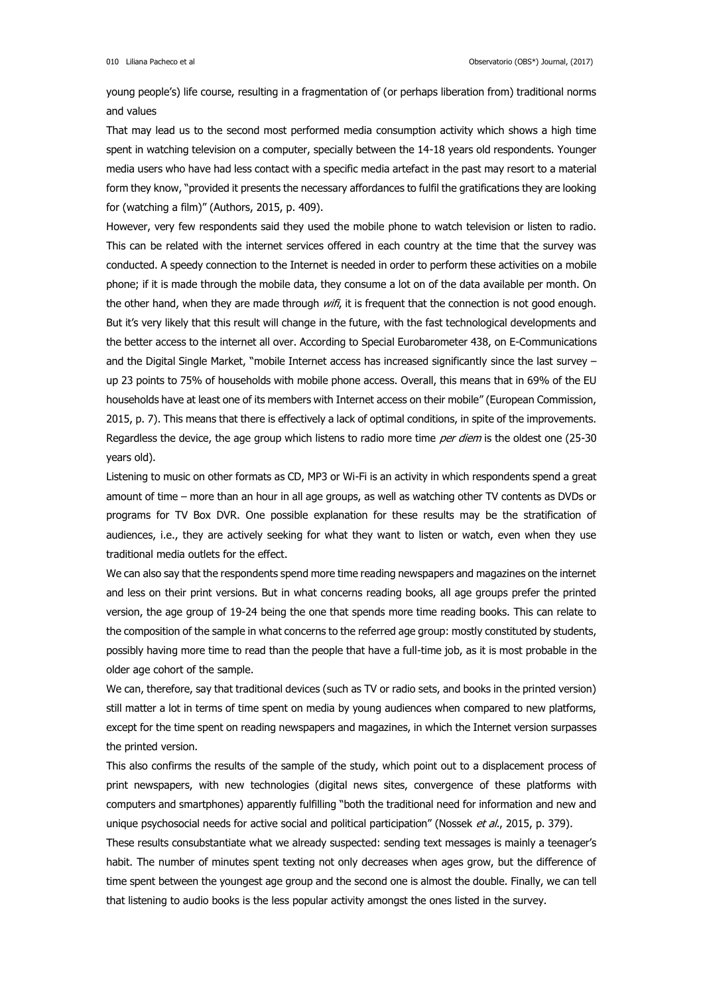young people's) life course, resulting in a fragmentation of (or perhaps liberation from) traditional norms and values

That may lead us to the second most performed media consumption activity which shows a high time spent in watching television on a computer, specially between the 14-18 years old respondents. Younger media users who have had less contact with a specific media artefact in the past may resort to a material form they know, "provided it presents the necessary affordances to fulfil the gratifications they are looking for (watching a film)" (Authors, 2015, p. 409).

However, very few respondents said they used the mobile phone to watch television or listen to radio. This can be related with the internet services offered in each country at the time that the survey was conducted. A speedy connection to the Internet is needed in order to perform these activities on a mobile phone; if it is made through the mobile data, they consume a lot on of the data available per month. On the other hand, when they are made through wifi, it is frequent that the connection is not good enough. But it's very likely that this result will change in the future, with the fast technological developments and the better access to the internet all over. According to Special Eurobarometer 438, on E-Communications and the Digital Single Market, "mobile Internet access has increased significantly since the last survey – up 23 points to 75% of households with mobile phone access. Overall, this means that in 69% of the EU households have at least one of its members with Internet access on their mobile" (European Commission, 2015, p. 7). This means that there is effectively a lack of optimal conditions, in spite of the improvements. Regardless the device, the age group which listens to radio more time per diem is the oldest one (25-30) years old).

Listening to music on other formats as CD, MP3 or Wi-Fi is an activity in which respondents spend a great amount of time – more than an hour in all age groups, as well as watching other TV contents as DVDs or programs for TV Box DVR. One possible explanation for these results may be the stratification of audiences, i.e., they are actively seeking for what they want to listen or watch, even when they use traditional media outlets for the effect.

We can also say that the respondents spend more time reading newspapers and magazines on the internet and less on their print versions. But in what concerns reading books, all age groups prefer the printed version, the age group of 19-24 being the one that spends more time reading books. This can relate to the composition of the sample in what concerns to the referred age group: mostly constituted by students, possibly having more time to read than the people that have a full-time job, as it is most probable in the older age cohort of the sample.

We can, therefore, say that traditional devices (such as TV or radio sets, and books in the printed version) still matter a lot in terms of time spent on media by young audiences when compared to new platforms, except for the time spent on reading newspapers and magazines, in which the Internet version surpasses the printed version.

This also confirms the results of the sample of the study, which point out to a displacement process of print newspapers, with new technologies (digital news sites, convergence of these platforms with computers and smartphones) apparently fulfilling "both the traditional need for information and new and unique psychosocial needs for active social and political participation" (Nossek et al., 2015, p. 379).

These results consubstantiate what we already suspected: sending text messages is mainly a teenager's habit. The number of minutes spent texting not only decreases when ages grow, but the difference of time spent between the youngest age group and the second one is almost the double. Finally, we can tell that listening to audio books is the less popular activity amongst the ones listed in the survey.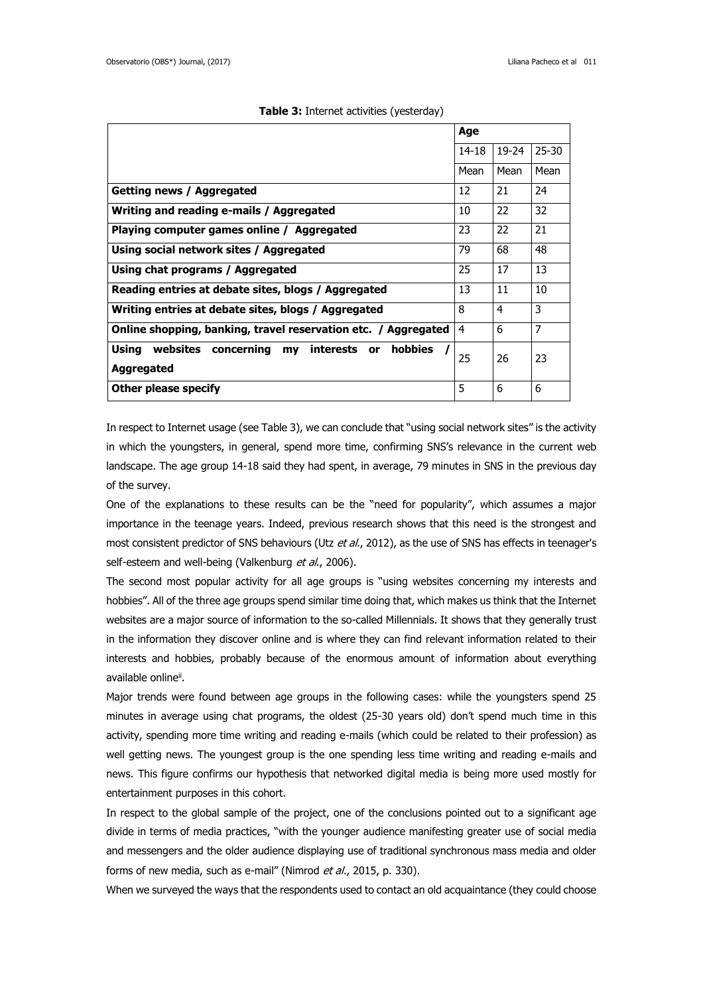|                                                                | Age       |           |           |
|----------------------------------------------------------------|-----------|-----------|-----------|
|                                                                | $14 - 18$ | $19 - 24$ | $25 - 30$ |
|                                                                | Mean      | Mean      | Mean      |
| Getting news / Aggregated                                      | 12        | 21        | 24        |
| Writing and reading e-mails / Aggregated                       | 10        | 22        | 32        |
| Playing computer games online / Aggregated                     | 23        | 22        | 21        |
| Using social network sites / Aggregated                        | 79        | 68        | 48        |
| Using chat programs / Aggregated                               | 25        | 17        | 13        |
| Reading entries at debate sites, blogs / Aggregated            | 13        | 11        | 10        |
| Writing entries at debate sites, blogs / Aggregated            | 8         | 4         | 3         |
| Online shopping, banking, travel reservation etc. / Aggregated | 4         | 6         | 7         |
| Using websites concerning my<br>hobbies<br>interests or        | 25        | 26        | 23        |
| Aggregated                                                     |           |           |           |
| Other please specify                                           | 5         | 6         | 6         |

#### **Table 3:** Internet activities (yesterday)

In respect to Internet usage (see Table 3), we can conclude that "using social network sites" is the activity in which the youngsters, in general, spend more time, confirming SNS's relevance in the current web landscape. The age group 14-18 said they had spent, in average, 79 minutes in SNS in the previous day of the survey.

One of the explanations to these results can be the "need for popularity", which assumes a major importance in the teenage years. Indeed, previous research shows that this need is the strongest and most consistent predictor of SNS behaviours (Utz et al., 2012), as the use of SNS has effects in teenager's self-esteem and well-being (Valkenburg et al., 2006).

The second most popular activity for all age groups is "using websites concerning my interests and hobbies". All of the three age groups spend similar time doing that, which makes us think that the Internet websites are a major source of information to the so-called Millennials. It shows that they generally trust in the information they discover online and is where they can find relevant information related to their interests and hobbies, probably because of the enormous amount of information about everything available online<sup>ii</sup>.

Major trends were found between age groups in the following cases: while the youngsters spend 25 minutes in average using chat programs, the oldest (25-30 years old) don't spend much time in this activity, spending more time writing and reading e-mails (which could be related to their profession) as well getting news. The youngest group is the one spending less time writing and reading e-mails and news. This figure confirms our hypothesis that networked digital media is being more used mostly for entertainment purposes in this cohort.

In respect to the global sample of the project, one of the conclusions pointed out to a significant age divide in terms of media practices, "with the younger audience manifesting greater use of social media and messengers and the older audience displaying use of traditional synchronous mass media and older forms of new media, such as e-mail" (Nimrod et al., 2015, p. 330).

When we surveyed the ways that the respondents used to contact an old acquaintance (they could choose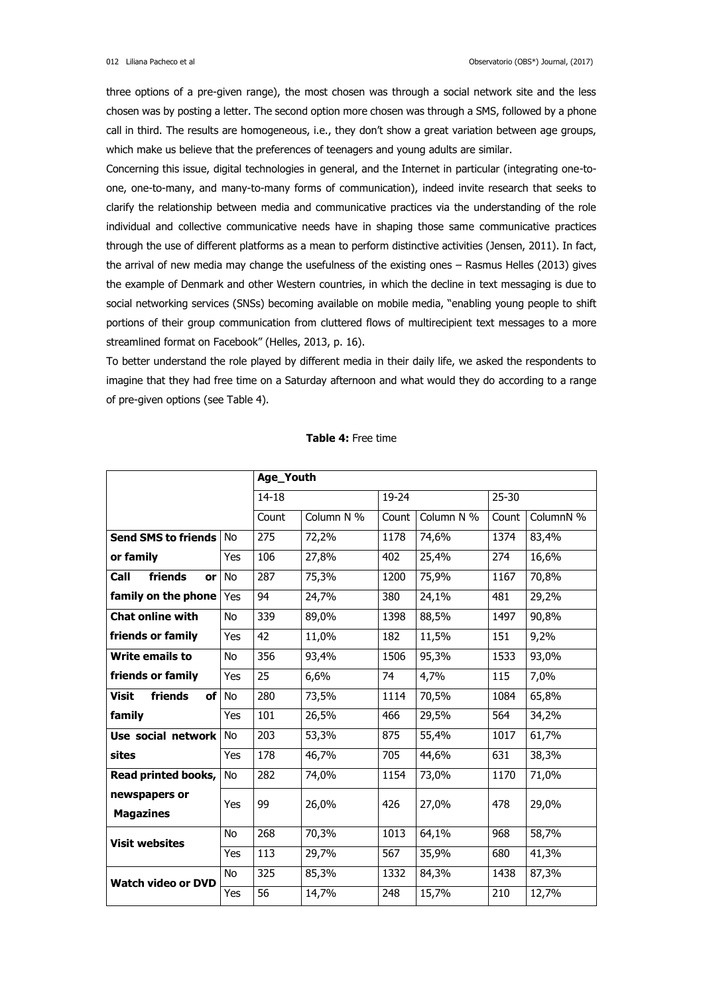three options of a pre-given range), the most chosen was through a social network site and the less chosen was by posting a letter. The second option more chosen was through a SMS, followed by a phone call in third. The results are homogeneous, i.e., they don't show a great variation between age groups, which make us believe that the preferences of teenagers and young adults are similar.

Concerning this issue, digital technologies in general, and the Internet in particular (integrating one-toone, one-to-many, and many-to-many forms of communication), indeed invite research that seeks to clarify the relationship between media and communicative practices via the understanding of the role individual and collective communicative needs have in shaping those same communicative practices through the use of different platforms as a mean to perform distinctive activities (Jensen, 2011). In fact, the arrival of new media may change the usefulness of the existing ones – Rasmus Helles (2013) gives the example of Denmark and other Western countries, in which the decline in text messaging is due to social networking services (SNSs) becoming available on mobile media, "enabling young people to shift portions of their group communication from cluttered flows of multirecipient text messages to a more streamlined format on Facebook" (Helles, 2013, p. 16).

To better understand the role played by different media in their daily life, we asked the respondents to imagine that they had free time on a Saturday afternoon and what would they do according to a range of pre-given options (see Table 4).

|                           |           | Age_Youth  |           |            |           |           |       |  |  |  |
|---------------------------|-----------|------------|-----------|------------|-----------|-----------|-------|--|--|--|
|                           | $14 - 18$ |            | $19 - 24$ |            | $25 - 30$ |           |       |  |  |  |
|                           | Count     | Column N % | Count     | Column N % | Count     | ColumnN % |       |  |  |  |
| Send SMS to friends No    |           | 275        | 72,2%     | 1178       | 74,6%     | 1374      | 83,4% |  |  |  |
| or family                 | Yes       | 106        | 27,8%     | 402        | 25,4%     | 274       | 16,6% |  |  |  |
| friends<br>Call<br>or     | <b>No</b> | 287        | 75,3%     | 1200       | 75,9%     | 1167      | 70,8% |  |  |  |
| family on the phone       | Yes       | 94         | 24,7%     | 380        | 24,1%     | 481       | 29,2% |  |  |  |
| <b>Chat online with</b>   | <b>No</b> | 339        | 89,0%     | 1398       | 88,5%     | 1497      | 90,8% |  |  |  |
| friends or family         | Yes       | 42         | 11,0%     | 182        | 11,5%     | 151       | 9,2%  |  |  |  |
| <b>Write emails to</b>    | <b>No</b> | 356        | 93,4%     | 1506       | 95,3%     | 1533      | 93,0% |  |  |  |
| friends or family         | Yes       | 25         | 6,6%      | 74         | 4,7%      | 115       | 7,0%  |  |  |  |
| friends<br><b>Visit</b>   | of No     | 280        | 73,5%     | 1114       | 70,5%     | 1084      | 65,8% |  |  |  |
| family                    | Yes       | 101        | 26,5%     | 466        | 29,5%     | 564       | 34,2% |  |  |  |
| Use social network        | <b>No</b> | 203        | 53,3%     | 875        | 55,4%     | 1017      | 61,7% |  |  |  |
| sites                     | Yes       | 178        | 46,7%     | 705        | 44,6%     | 631       | 38,3% |  |  |  |
| Read printed books,       | <b>No</b> | 282        | 74,0%     | 1154       | 73,0%     | 1170      | 71,0% |  |  |  |
| newspapers or             | Yes       | 99         | 26,0%     | 426        | 27,0%     | 478       | 29,0% |  |  |  |
| <b>Magazines</b>          |           |            |           |            |           |           |       |  |  |  |
| <b>Visit websites</b>     | <b>No</b> | 268        | 70,3%     | 1013       | 64,1%     | 968       | 58,7% |  |  |  |
|                           | Yes       | 113        | 29,7%     | 567        | 35,9%     | 680       | 41,3% |  |  |  |
| <b>Watch video or DVD</b> | No        | 325        | 85,3%     | 1332       | 84,3%     | 1438      | 87,3% |  |  |  |
|                           | Yes       | 56         | 14,7%     | 248        | 15,7%     | 210       | 12,7% |  |  |  |

#### **Table 4:** Free time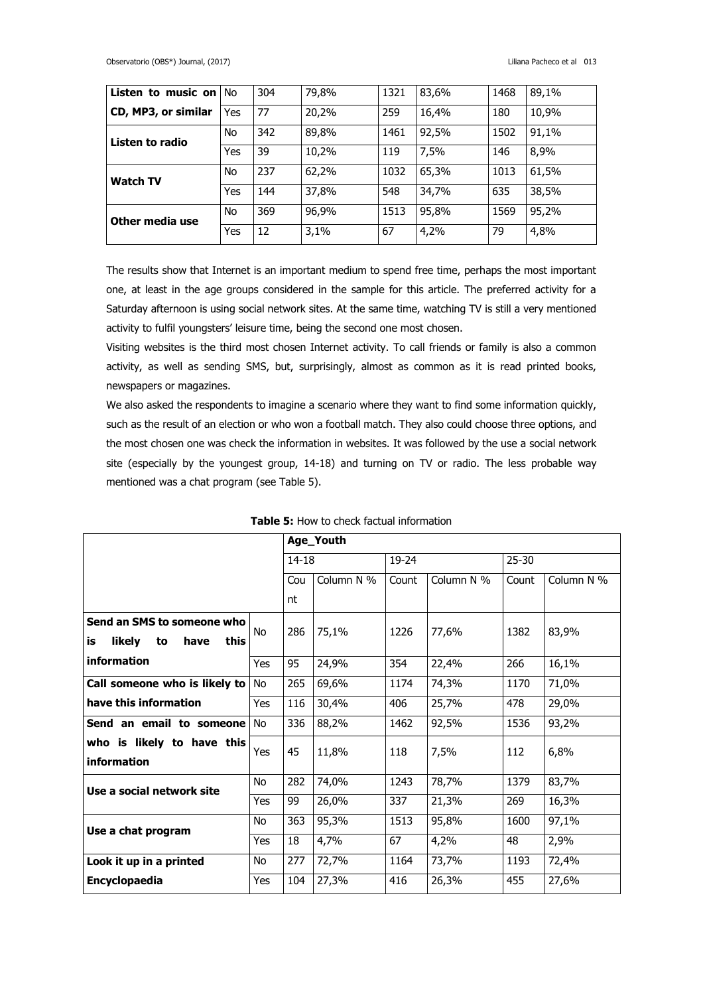| <b>Listen to music on No</b> |     | 304 | 79,8% | 1321 | 83,6% | 1468 | 89,1% |
|------------------------------|-----|-----|-------|------|-------|------|-------|
| CD, MP3, or similar          | Yes | 77  | 20,2% | 259  | 16,4% | 180  | 10,9% |
| Listen to radio              | No  | 342 | 89,8% | 1461 | 92,5% | 1502 | 91,1% |
|                              | Yes | 39  | 10,2% | 119  | 7,5%  | 146  | 8,9%  |
| <b>Watch TV</b>              | No  | 237 | 62,2% | 1032 | 65,3% | 1013 | 61,5% |
|                              | Yes | 144 | 37,8% | 548  | 34,7% | 635  | 38,5% |
| Other media use              | No  | 369 | 96,9% | 1513 | 95,8% | 1569 | 95,2% |
|                              | Yes | 12  | 3,1%  | 67   | 4,2%  | 79   | 4,8%  |

The results show that Internet is an important medium to spend free time, perhaps the most important one, at least in the age groups considered in the sample for this article. The preferred activity for a Saturday afternoon is using social network sites. At the same time, watching TV is still a very mentioned activity to fulfil youngsters' leisure time, being the second one most chosen.

Visiting websites is the third most chosen Internet activity. To call friends or family is also a common activity, as well as sending SMS, but, surprisingly, almost as common as it is read printed books, newspapers or magazines.

We also asked the respondents to imagine a scenario where they want to find some information quickly, such as the result of an election or who won a football match. They also could choose three options, and the most chosen one was check the information in websites. It was followed by the use a social network site (especially by the youngest group, 14-18) and turning on TV or radio. The less probable way mentioned was a chat program (see Table 5).

|                                                                  |     | Age_Youth |                    |       |            |           |            |  |  |
|------------------------------------------------------------------|-----|-----------|--------------------|-------|------------|-----------|------------|--|--|
|                                                                  |     |           | $14 - 18$<br>19-24 |       |            | $25 - 30$ |            |  |  |
|                                                                  |     | Cou       | Column N %         | Count | Column N % | Count     | Column N % |  |  |
|                                                                  |     | nt        |                    |       |            |           |            |  |  |
| Send an SMS to someone who<br>is<br>likely<br>this<br>have<br>to | No  | 286       | 75,1%              | 1226  | 77,6%      | 1382      | 83,9%      |  |  |
| information                                                      | Yes | 95        | 24,9%              | 354   | 22,4%      | 266       | 16,1%      |  |  |
| Call someone who is likely to                                    | No  | 265       | 69,6%              | 1174  | 74,3%      | 1170      | 71,0%      |  |  |
| have this information                                            |     | 116       | 30,4%              | 406   | 25,7%      | 478       | 29,0%      |  |  |
| Send an email to someone<br>No                                   |     | 336       | 88,2%              | 1462  | 92,5%      | 1536      | 93,2%      |  |  |
| who is likely to have this<br>information                        | Yes | 45        | 11,8%              | 118   | 7,5%       | 112       | 6,8%       |  |  |
| Use a social network site                                        | No  | 282       | 74,0%              | 1243  | 78,7%      | 1379      | 83,7%      |  |  |
|                                                                  | Yes | 99        | 26,0%              | 337   | 21,3%      | 269       | 16,3%      |  |  |
| Use a chat program                                               | No  | 363       | 95,3%              | 1513  | 95,8%      | 1600      | 97,1%      |  |  |
|                                                                  | Yes | 18        | 4,7%               | 67    | 4,2%       | 48        | 2,9%       |  |  |
| Look it up in a printed                                          | No  | 277       | 72,7%              | 1164  | 73,7%      | 1193      | 72,4%      |  |  |
| Encyclopaedia<br>Yes                                             |     | 104       | 27,3%              | 416   | 26,3%      | 455       | 27,6%      |  |  |

**Table 5:** How to check factual information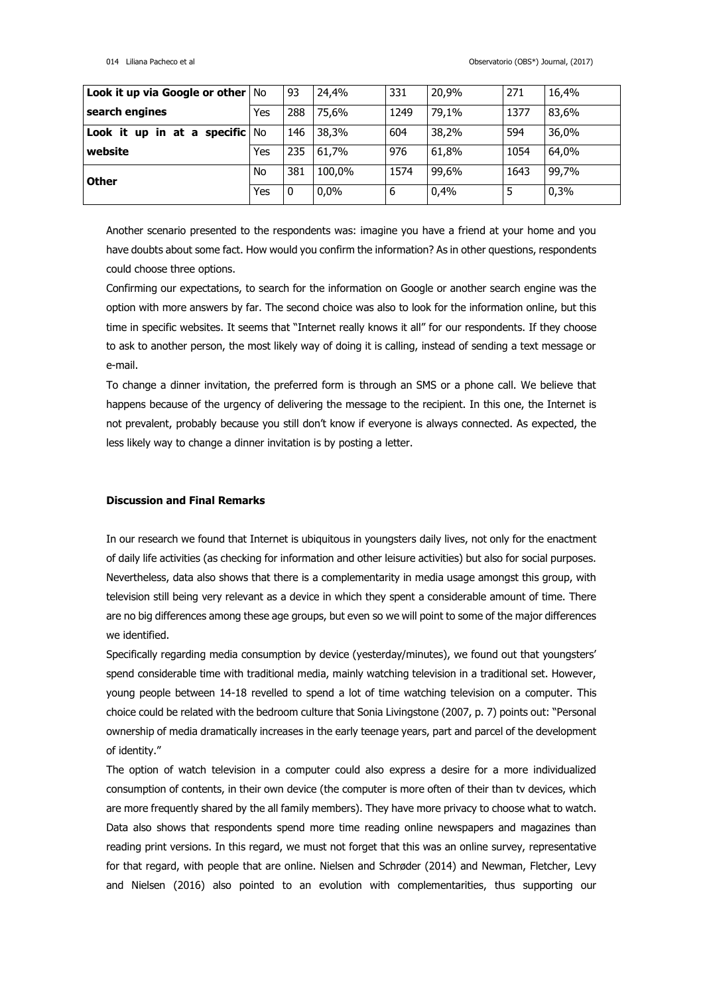| Look it up via Google or other   No    |     | 93  | 24,4%   | 331  | 20,9% | 271  | 16,4% |
|----------------------------------------|-----|-----|---------|------|-------|------|-------|
| search engines                         | Yes | 288 | 75,6%   | 1249 | 79,1% | 1377 | 83,6% |
| Look it up in at a specific $\sqrt{N}$ |     | 146 | 38,3%   | 604  | 38,2% | 594  | 36,0% |
| website                                | Yes | 235 | 61,7%   | 976  | 61.8% | 1054 | 64,0% |
| <b>Other</b>                           | No  | 381 | 100,0%  | 1574 | 99,6% | 1643 | 99,7% |
|                                        | Yes | 0   | $0.0\%$ | 6    | 0,4%  |      | 0,3%  |

Another scenario presented to the respondents was: imagine you have a friend at your home and you have doubts about some fact. How would you confirm the information? As in other questions, respondents could choose three options.

Confirming our expectations, to search for the information on Google or another search engine was the option with more answers by far. The second choice was also to look for the information online, but this time in specific websites. It seems that "Internet really knows it all" for our respondents. If they choose to ask to another person, the most likely way of doing it is calling, instead of sending a text message or e-mail.

To change a dinner invitation, the preferred form is through an SMS or a phone call. We believe that happens because of the urgency of delivering the message to the recipient. In this one, the Internet is not prevalent, probably because you still don't know if everyone is always connected. As expected, the less likely way to change a dinner invitation is by posting a letter.

# **Discussion and Final Remarks**

In our research we found that Internet is ubiquitous in youngsters daily lives, not only for the enactment of daily life activities (as checking for information and other leisure activities) but also for social purposes. Nevertheless, data also shows that there is a complementarity in media usage amongst this group, with television still being very relevant as a device in which they spent a considerable amount of time. There are no big differences among these age groups, but even so we will point to some of the major differences we identified.

Specifically regarding media consumption by device (yesterday/minutes), we found out that youngsters' spend considerable time with traditional media, mainly watching television in a traditional set. However, young people between 14-18 revelled to spend a lot of time watching television on a computer. This choice could be related with the bedroom culture that Sonia Livingstone (2007, p. 7) points out: "Personal ownership of media dramatically increases in the early teenage years, part and parcel of the development of identity."

The option of watch television in a computer could also express a desire for a more individualized consumption of contents, in their own device (the computer is more often of their than tv devices, which are more frequently shared by the all family members). They have more privacy to choose what to watch. Data also shows that respondents spend more time reading online newspapers and magazines than reading print versions. In this regard, we must not forget that this was an online survey, representative for that regard, with people that are online. Nielsen and Schrøder (2014) and Newman, Fletcher, Levy and Nielsen (2016) also pointed to an evolution with complementarities, thus supporting our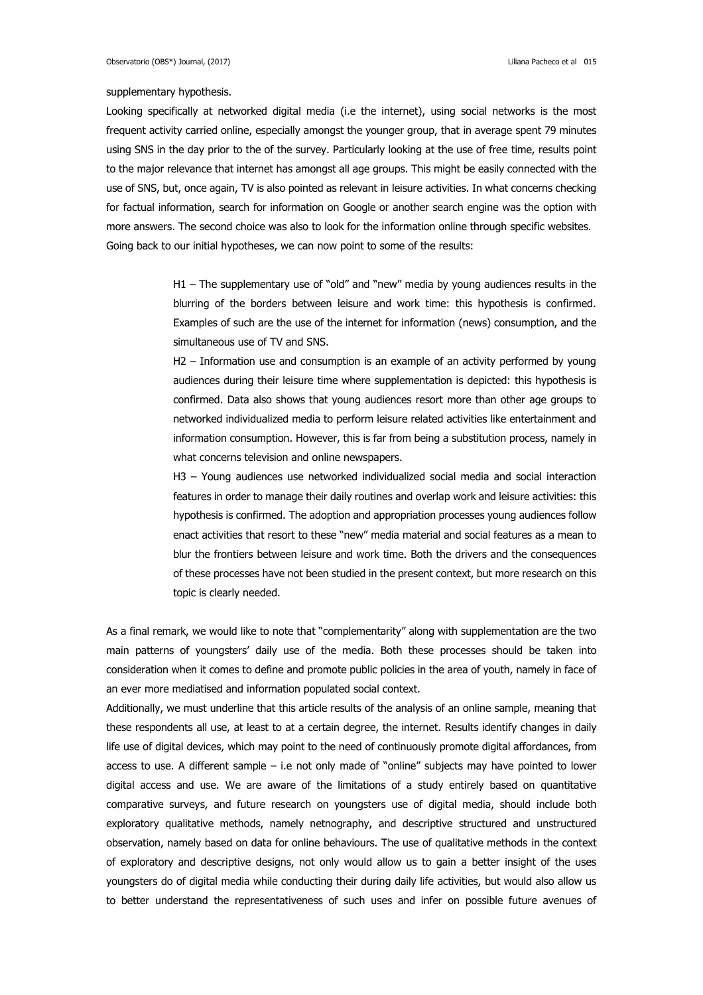#### supplementary hypothesis.

Looking specifically at networked digital media (i.e the internet), using social networks is the most frequent activity carried online, especially amongst the younger group, that in average spent 79 minutes using SNS in the day prior to the of the survey. Particularly looking at the use of free time, results point to the major relevance that internet has amongst all age groups. This might be easily connected with the use of SNS, but, once again, TV is also pointed as relevant in leisure activities. In what concerns checking for factual information, search for information on Google or another search engine was the option with more answers. The second choice was also to look for the information online through specific websites. Going back to our initial hypotheses, we can now point to some of the results:

> H1 – The supplementary use of "old" and "new" media by young audiences results in the blurring of the borders between leisure and work time: this hypothesis is confirmed. Examples of such are the use of the internet for information (news) consumption, and the simultaneous use of TV and SNS.

> H2 – Information use and consumption is an example of an activity performed by young audiences during their leisure time where supplementation is depicted: this hypothesis is confirmed. Data also shows that young audiences resort more than other age groups to networked individualized media to perform leisure related activities like entertainment and information consumption. However, this is far from being a substitution process, namely in what concerns television and online newspapers.

> H3 – Young audiences use networked individualized social media and social interaction features in order to manage their daily routines and overlap work and leisure activities: this hypothesis is confirmed. The adoption and appropriation processes young audiences follow enact activities that resort to these "new" media material and social features as a mean to blur the frontiers between leisure and work time. Both the drivers and the consequences of these processes have not been studied in the present context, but more research on this topic is clearly needed.

As a final remark, we would like to note that "complementarity" along with supplementation are the two main patterns of youngsters' daily use of the media. Both these processes should be taken into consideration when it comes to define and promote public policies in the area of youth, namely in face of an ever more mediatised and information populated social context.

Additionally, we must underline that this article results of the analysis of an online sample, meaning that these respondents all use, at least to at a certain degree, the internet. Results identify changes in daily life use of digital devices, which may point to the need of continuously promote digital affordances, from access to use. A different sample – i.e not only made of "online" subjects may have pointed to lower digital access and use. We are aware of the limitations of a study entirely based on quantitative comparative surveys, and future research on youngsters use of digital media, should include both exploratory qualitative methods, namely netnography, and descriptive structured and unstructured observation, namely based on data for online behaviours. The use of qualitative methods in the context of exploratory and descriptive designs, not only would allow us to gain a better insight of the uses youngsters do of digital media while conducting their during daily life activities, but would also allow us to better understand the representativeness of such uses and infer on possible future avenues of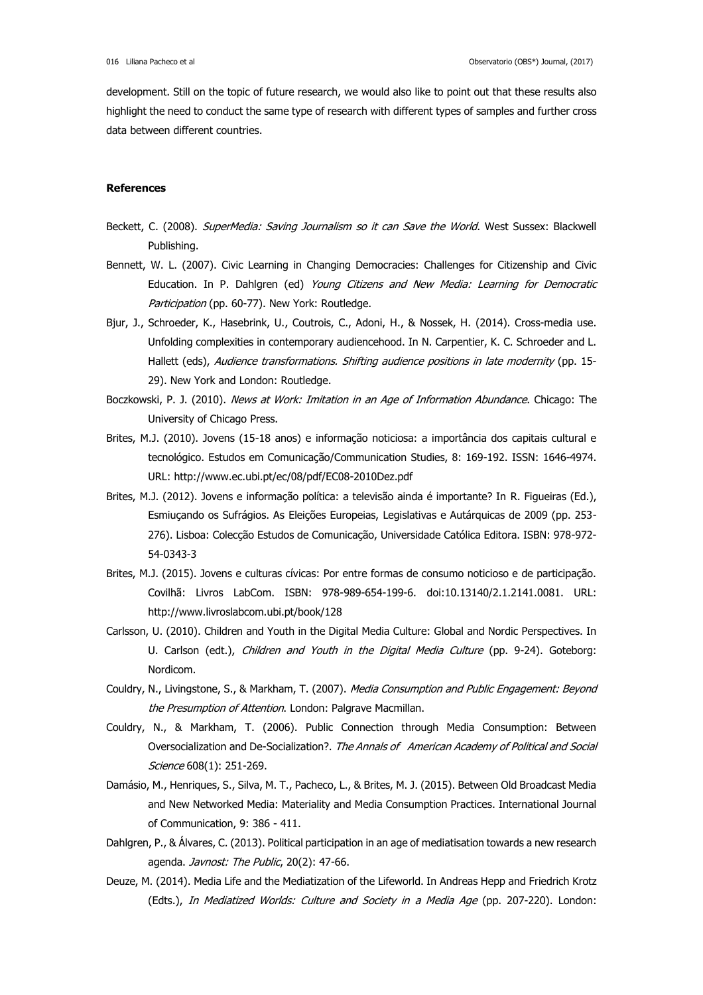development. Still on the topic of future research, we would also like to point out that these results also highlight the need to conduct the same type of research with different types of samples and further cross data between different countries.

### **References**

- Beckett, C. (2008). SuperMedia: Saving Journalism so it can Save the World. West Sussex: Blackwell Publishing.
- Bennett, W. L. (2007). Civic Learning in Changing Democracies: Challenges for Citizenship and Civic Education. In P. Dahlgren (ed) Young Citizens and New Media: Learning for Democratic Participation (pp. 60-77). New York: Routledge.
- Bjur, J., Schroeder, K., Hasebrink, U., Coutrois, C., Adoni, H., & Nossek, H. (2014). Cross-media use. Unfolding complexities in contemporary audiencehood. In N. Carpentier, K. C. Schroeder and L. Hallett (eds), Audience transformations. Shifting audience positions in late modernity (pp. 15-29). New York and London: Routledge.
- Boczkowski, P. J. (2010). News at Work: Imitation in an Age of Information Abundance. Chicago: The University of Chicago Press.
- Brites, M.J. (2010). Jovens (15-18 anos) e informação noticiosa: a importância dos capitais cultural e tecnológico. Estudos em Comunicação/Communication Studies, 8: 169-192. ISSN: 1646-4974. URL:<http://www.ec.ubi.pt/ec/08/pdf/EC08-2010Dez.pdf>
- Brites, M.J. (2012). Jovens e informação política: a televisão ainda é importante? In R. Figueiras (Ed.), Esmiuçando os Sufrágios. As Eleições Europeias, Legislativas e Autárquicas de 2009 (pp. 253- 276). Lisboa: Colecção Estudos de Comunicação, Universidade Católica Editora. ISBN: 978-972- 54-0343-3
- Brites, M.J. (2015). Jovens e culturas cívicas: Por entre formas de consumo noticioso e de participação. Covilhã: Livros LabCom. ISBN: 978-989-654-199-6. doi:10.13140/2.1.2141.0081. URL: http://www.livroslabcom.ubi.pt/book/128
- Carlsson, U. (2010). Children and Youth in the Digital Media Culture: Global and Nordic Perspectives. In U. Carlson (edt.), Children and Youth in the Digital Media Culture (pp. 9-24). Goteborg: Nordicom.
- Couldry, N., Livingstone, S., & Markham, T. (2007). Media Consumption and Public Engagement: Beyond the Presumption of Attention. London: Palgrave Macmillan.
- Couldry, N., & Markham, T. (2006). Public Connection through Media Consumption: Between Oversocialization and De-Socialization?. The Annals of American Academy of Political and Social Science 608(1): 251-269.
- Damásio, M., Henriques, S., Silva, M. T., Pacheco, L., & Brites, M. J. (2015). Between Old Broadcast Media and New Networked Media: Materiality and Media Consumption Practices. International Journal of Communication, 9: 386 - 411.
- Dahlgren, P., & Álvares, C. (2013). Political participation in an age of mediatisation towards a new research agenda. Javnost: The Public, 20(2): 47-66.
- Deuze, M. (2014). Media Life and the Mediatization of the Lifeworld. In [Andreas Hepp](http://www.palgraveconnect.com/pc/browse/advancedsearchresults?authorEditor=Andreas%20Hepp) and [Friedrich Krotz](http://www.palgraveconnect.com/pc/browse/advancedsearchresults?authorEditor=Friedrich%20Krotz) (Edts.), In Mediatized Worlds: Culture and Society in a Media Age (pp. 207-220). London: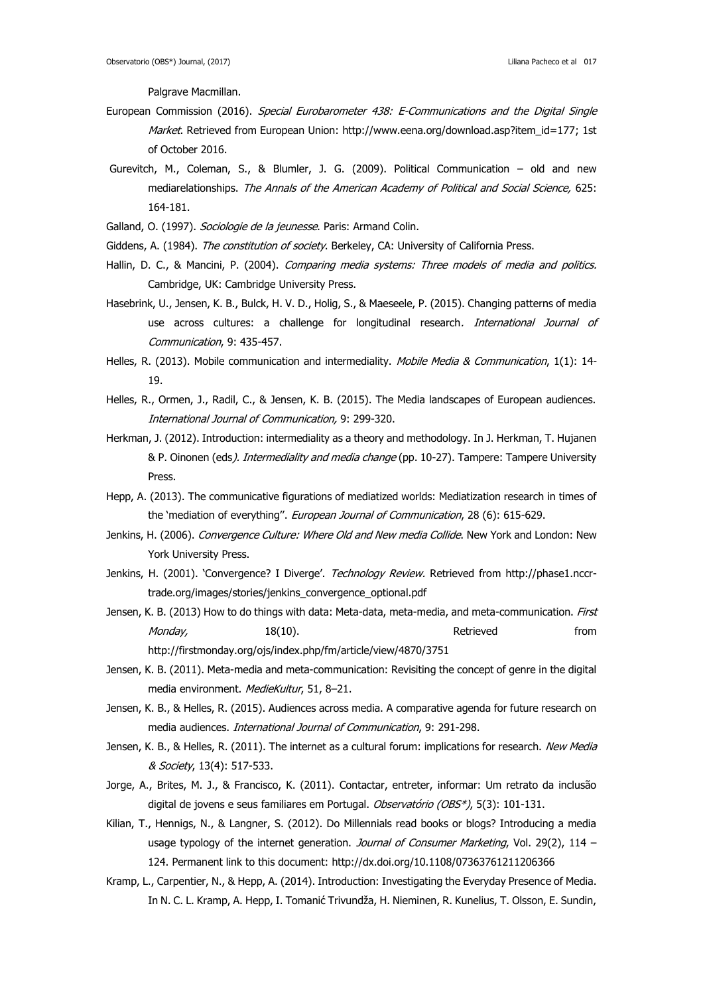Palgrave Macmillan.

- European Commission (2016). Special Eurobarometer 438: E-Communications and the Digital Single Market. Retrieved from European Union: [http://www.eena.org/download.asp?item\\_id=177;](http://www.eena.org/download.asp?item_id=177) 1st of October 2016.
- Gurevitch, M., Coleman, S., & Blumler, J. G. (2009). Political Communication old and new mediarelationships. The Annals of the American Academy of Political and Social Science, 625: 164-181.
- Galland, O. (1997). Sociologie de la jeunesse. Paris: Armand Colin.
- Giddens, A. (1984). The constitution of society. Berkeley, CA: University of California Press.
- Hallin, D. C., & Mancini, P. (2004). Comparing media systems: Three models of media and politics. Cambridge, UK: Cambridge University Press.
- Hasebrink, U., Jensen, K. B., Bulck, H. V. D., Holig, S., & Maeseele, P. (2015). Changing patterns of media use across cultures: a challenge for longitudinal research. International Journal of Communication, 9: 435-457.
- Helles, R. (2013). Mobile communication and intermediality. Mobile Media & Communication, 1(1): 14-19.
- Helles, R., Ormen, J., Radil, C., & Jensen, K. B. (2015). The Media landscapes of European audiences. International Journal of Communication, 9: 299-320.
- Herkman, J. (2012). Introduction: intermediality as a theory and methodology. In J. Herkman, T. Hujanen & P. Oinonen (eds). Intermediality and media change (pp. 10-27). Tampere: Tampere University Press.
- Hepp, A. (2013). The communicative figurations of mediatized worlds: Mediatization research in times of the 'mediation of everything". European Journal of Communication, 28 (6): 615-629.
- Jenkins, H. (2006). Convergence Culture: Where Old and New media Collide. New York and London: New York University Press.
- Jenkins, H. (2001). 'Convergence? I Diverge'. Technology Review. Retrieved from [http://phase1.nccr](http://phase1.nccr-trade.org/images/stories/jenkins_convergence_optional.pdf)[trade.org/images/stories/jenkins\\_convergence\\_optional.pdf](http://phase1.nccr-trade.org/images/stories/jenkins_convergence_optional.pdf)
- Jensen, K. B. (2013) How to do things with data: Meta-data, meta-media, and meta-communication. First M*onday,* 18(10). The settle of the settle of the settle from the settle of the settle from the settle from the set <http://firstmonday.org/ojs/index.php/fm/article/view/4870/3751>
- Jensen, K. B. (2011). Meta-media and meta-communication: Revisiting the concept of genre in the digital media environment. MedieKultur, 51, 8-21.
- Jensen, K. B., & Helles, R. (2015). Audiences across media. A comparative agenda for future research on media audiences. International Journal of Communication, 9: 291-298.
- Jensen, K. B., & Helles, R. (2011). The internet as a cultural forum: implications for research. New Media & Society, 13(4): 517-533.
- Jorge, A., Brites, M. J., & Francisco, K. (2011). Contactar, entreter, informar: Um retrato da inclusão digital de jovens e seus familiares em Portugal. Observatório (OBS\*), 5(3): 101-131.
- Kilian, T., Hennigs, N., & Langner, S. (2012). Do Millennials read books or blogs? Introducing a media usage typology of the internet generation. Journal of Consumer Marketing, Vol. 29(2), 114 – 124. Permanent link to this document:<http://dx.doi.org/10.1108/07363761211206366>
- Kramp, L., Carpentier, N., & Hepp, A. (2014). Introduction: Investigating the Everyday Presence of Media. In N. C. L. Kramp, A. Hepp, I. Tomanić Trivundža, H. Nieminen, R. Kunelius, T. Olsson, E. Sundin,